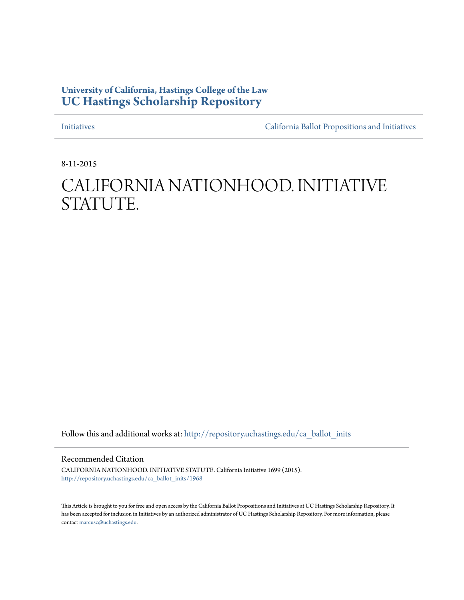## **University of California, Hastings College of the Law [UC Hastings Scholarship Repository](http://repository.uchastings.edu?utm_source=repository.uchastings.edu%2Fca_ballot_inits%2F1968&utm_medium=PDF&utm_campaign=PDFCoverPages)**

[Initiatives](http://repository.uchastings.edu/ca_ballot_inits?utm_source=repository.uchastings.edu%2Fca_ballot_inits%2F1968&utm_medium=PDF&utm_campaign=PDFCoverPages) [California Ballot Propositions and Initiatives](http://repository.uchastings.edu/ca_ballots?utm_source=repository.uchastings.edu%2Fca_ballot_inits%2F1968&utm_medium=PDF&utm_campaign=PDFCoverPages)

8-11-2015

# CALIFORNIA NATIONHOOD. INITIATIVE STATUTE.

Follow this and additional works at: [http://repository.uchastings.edu/ca\\_ballot\\_inits](http://repository.uchastings.edu/ca_ballot_inits?utm_source=repository.uchastings.edu%2Fca_ballot_inits%2F1968&utm_medium=PDF&utm_campaign=PDFCoverPages)

Recommended Citation

CALIFORNIA NATIONHOOD. INITIATIVE STATUTE. California Initiative 1699 (2015). [http://repository.uchastings.edu/ca\\_ballot\\_inits/1968](http://repository.uchastings.edu/ca_ballot_inits/1968?utm_source=repository.uchastings.edu%2Fca_ballot_inits%2F1968&utm_medium=PDF&utm_campaign=PDFCoverPages)

This Article is brought to you for free and open access by the California Ballot Propositions and Initiatives at UC Hastings Scholarship Repository. It has been accepted for inclusion in Initiatives by an authorized administrator of UC Hastings Scholarship Repository. For more information, please contact [marcusc@uchastings.edu](mailto:marcusc@uchastings.edu).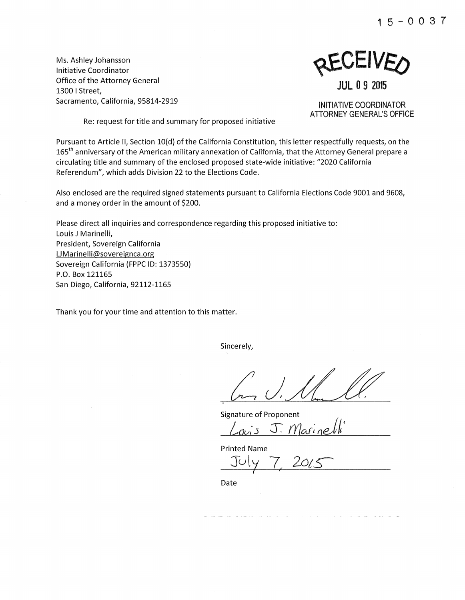**15-0037** 

Ms. Ashley Johansson Initiative Coordinator Office of the Attorney General 1300 I Street, Sacramento, California, 95814-2919

REVEIVED **JUL 0 9 2015** 

INITIATIVE COORDINATOR **ATTORNEY GENERAL'S OFFICE** 

Re: request for title and summary for proposed initiative

Pursuant to Article II, Section 10(d) of the California Constitution, this letter respectfully requests, on the 165<sup>th</sup> anniversary of the American military annexation of California, that the Attorney General prepare a circulating title and summary ofthe enclosed proposed state-wide initiative: "2020 California Referendum", which adds Division 22 to the Elections Code.

Also enclosed are the required signed statements pursuant to California Elections Code 9001 and 9608, and a money order in the amount of \$200.

Please direct all inquiries and correspondence regarding this proposed initiative to: Louis J Marinelli, President, Sovereign California UMarinelli@sovereignca.org Sovereign California (FPPC ID: 1373550) P.O. Box 121165 San Diego, California, 92112-1165

Thank you for your time and attention to this matter.

Sincerely,

Signature of Proponent

*Loui* J .:1. *fYlo..r;* o~lk'

Printed Name

 $\bigcup \mathcal{O}$   $\bigcap$ 

Date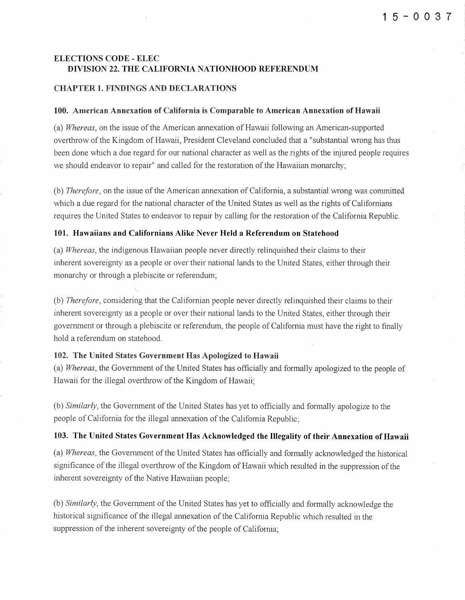## ELECTIONS CODE - ELEC DIVISION 22. THE CALIFORNIA NATIONHOOD REFERENDUM

## CHAPTER 1. FINDINGS AND DECLARATIONS

## 100. American Annexation of California is Comparable to American Annexation of Hawaii

(a) *Whereas*, on the issue of the American annexation of Hawaii following an American-supported overthrow of the Kingdom of Hawaii, President Cleveland concluded that a "substantial wrong has thus been done which a due regard for our national character as well as the rights of the injured people requires we should endeavor to repair" and called for the restoration of the Hawaiian monarchy;

(b) *Therefore*, on the issue of the American annexation of California, a substantial wrong was committed which a due regard for the national character of the United States as well as the rights of Californians requires the United States to endeavor *to* repair by calling for the restoration of the California Republic.

## 101. Hawaiians and Californians Alike Never Held a Referendum on Statehood

(a) *Whereas,* the indigenous Hawaiian people never directly relinquished their claims to their inherent sovereignty as a people or over their national lands to the United States, either through their monarchy or through a plebiscite or referendum;

(b) *Therefore,* considering that the Californian people never directly relinquished their claims to their inherent sovereignty as a people or over their national lands to the United States, either through their government or through a plebiscite or referendum, the people of California must have the right to finally hold a referendum on statehood.

## 102. The United States Government Has Apologized to Hawaii

(a) *Whereas,* the Government of the United States has officially and formally apologized to the people of Hawaii for the illegal overthrow of the Kingdom of Hawaii;

(b) *Similarly*, the Government of the United States has yet to officially and formally apologize to the people of California for the illegal annexation of the California Republic;

## 103. The United States Government Has Acknowledged the Illegality of their Annexation of Hawaii

(a) *Whereas*, the Government of the United States has officially and formally acknowledged the historical significance of the illegal overthrow of the Kingdom of Hawaii which resulted in the suppression of the inherent sovereignty of the Native Hawaiian people;

(b) *Similarly*, the Government of the United States has yet to officially and formally acknowledge the historical significance of the illegal annexation of the California Republic which resulted in the suppression of the inherent sovereignty of the people of California;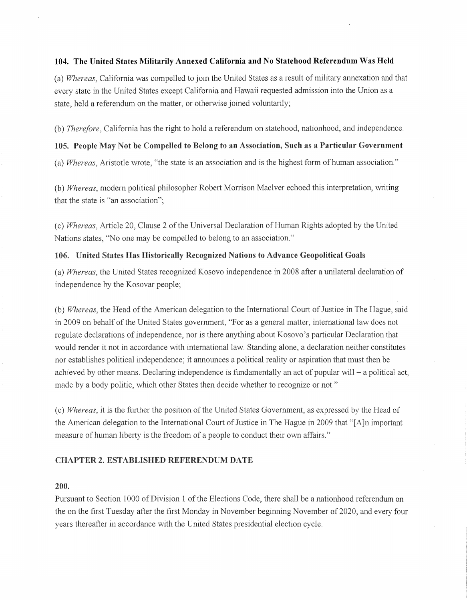## 104. The United States Militarily Annexed California and No Statehood Referendum Was Held

(a) *Whereas,* California was compelled to join the United States as a result of military annexation and that every state in the United States except California and Hawaii requested admission into the Union as a state, held a referendum on the matter, or otherwise joined voluntarily;

(b) *Therefore,* California has the right to hold a referendum on statehood, nationhood, and independence.

## 105. People May Not be Compelled to Belong to an Association, Such as a Particular Government

(a) *Whereas,* Aristotle wrote, "the state is an association and is the highest form ofhuman association."

(b) *Whereas,* modern political philosopher Robert Morrison Maciver echoed this interpretation, writing that the state is "an association";

(c) *Whereas,* Article 20, Clause 2 ofthe Universal Declaration of Human Rights adopted by the United Nations states, "No one may be compelled to belong to an association."

## 106. United States Has Historically Recognized Nations to Advance Geopolitical Goals

(a) *Whereas,* the United States recognized Kosovo independence in 2008 after a unilateral declaration of independence by the Kosovar people;

(b) *Whereas*, the Head of the American delegation to the International Court of Justice in The Hague, said in 2009 on behalf of the United States government, "For as a general matter, international law does not regulate declarations of independence, nor is there anything about Kosovo's particular Declaration that would render it not in accordance with international law. Standing alone, a declaration neither constitutes nor establishes political independence; it announces a political reality or aspiration that must then be achieved by other means. Declaring independence is fundamentally an act of popular will  $-$  a political act, made by a body politic, which other States then decide whether to recognize or not."

(c) *Whereas*, it is the further the position of the United States Government, as expressed by the Head of the American delegation to the International Court of Justice in The Hague in 2009 that "[A]n important measure of human liberty is the freedom of a people to conduct their own affairs."

## CHAPTER 2. ESTABLISHED REFERENDUM DATE

#### 200.

Pursuant to Section 1000 of Division 1 of the Elections Code, there shall be a nationhood referendum on the on the first Tuesday after the first Monday in November beginning November of2020, and every four years thereafter in accordance with the United States presidential election cycle.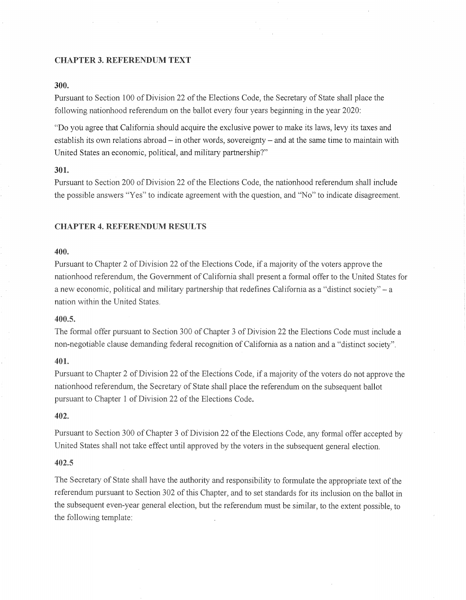## CHAPTER 3. REFERENDUM TEXT

#### 300.

Pursuant to Section 100 of Division 22 of the Elections Code, the Secretary of State shall place the following nationhood referendum on the ballot every four years beginning in the year 2020:

**"Do you agree that California should acquire the exclusive power to make its laws, levy its taxes and establish its own relations abroad- in other words, sovereignty- and at the same time to maintain with United States an economic, political, and military partnership?"** 

## 301.

Pursuant to Section 200 of Division 22 of the Elections Code, the nationhood referendum shall include the possible answers "Yes" to indicate agreement with the question, and "No" to indicate disagreement.

## **CHAPTER 4. REFERENDUM RESULTS**

#### 400.

Pursuant to Chapter 2 of Division 22 of the Elections Code, if a majority of the voters approve the nationhood referendum, the Government of California shall present a formal offer to the United States for a new economic, political and military partnership that redefines California as a "distinct society"  $-$  a nation within the United States.

## 400.5.

The formal offer pursuant to Section 300 of Chapter 3 of Division 22 the Elections Code must include a non-negotiable clause demanding federal recognition of California as a nation and a "distinct society".

#### 401.

to Chapter 2 of Division 22 of the Elections Code, if a majority of the voters do not approve the to Chapter 1 of Division 22 of the Elections Code. nation hood referendum, the Secretary of State shall place the referendum on the subsequent ballot

#### 402.

Pursuant to Section 300 of Chapter 3 of Division 22 of the Elections Code, any formal offer accepted by United States shall not take effect until approved by the voters in the subsequent general election.

#### 402.5

The Secretary of State shall have the authority and responsibility to formulate the appropriate text of the referendum pursuant to Section 302 of this Chapter, and to set standards for its inclusion on the ballot in the subsequent even-year general election, but the referendum must be similar, to the extent possible, to the following template: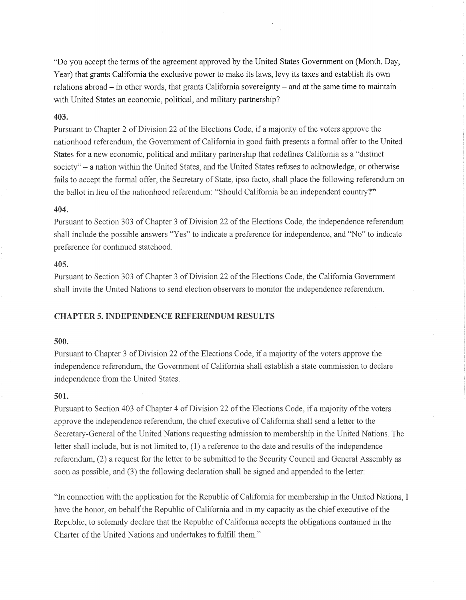**"Do you accept the terms of the agreement approved by the United States Government on (Month, Day, Year) that grants California the exclusive power to make its laws, levy its taxes and establish its own relations abroad - in other words, that grants California sovereignty - and at the same time to maintain with United States an economic, political, and military partnership?** 

## 403.

Pursuant to Chapter 2 of Division 22 of the Elections Code, if a majority of the voters approve the nationhood referendum, the Government of California in good faith presents a formal offer to the United States for a new economic, political and military partnership that redefines California as a "distinct society" – a nation within the United States, and the United States refuses to acknowledge, or otherwise fails to accept the formal offer, the Secretary of State, ipso facto, shall place the following referendum on the ballot in lieu of the nationhood referendum: "Should California be an independent country?"

#### 404.

Pursuant to Section 303 of Chapter 3 of Division 22 of the Elections Code, the independence referendum shall include the possible answers "Yes" to indicate a preference for independence, and "No" to indicate preference for continued statehood.

## 405.

Pursuant to Section 303 of Chapter 3 of Division 22 of the Elections Code, the California Government shall invite the United Nations to send election observers to monitor the independence referendum.

## **CHAPTER 5. INDEPENDENCE REFERENDUM RESULTS**

#### 500.

Pursuant to Chapter 3 of Division 22 of the Elections Code, if a majority of the voters approve the independence referendum, the Government of California shall establish a state commission to declare independence from the United

#### $501.$

Pursuant to Section 403 of Chapter 4 of Division 22 of the Elections Code, if a majority of the voters approve the independence referendum, the chief executive of California shall send a letter to the Secretary-General of the United Nations requesting admission to membership in the United Nations. The letter shall include, but is not limited to,  $(1)$  a reference to the date and results of the independence referendum, (2) a request for the letter to be submitted to the Security Council and General Assembly as soon as possible, and (3) the following declaration shall be signed and appended to the letter:

"In connection with the application for the Republic of California for membership in the United Nations, I have the honor, on behalf the Republic of California and in my capacity as the chief executive of the Republic, to solemnly declare that the Republic of California accepts the obligations contained in the Charter of the United Nations and undertakes to fulfill them."